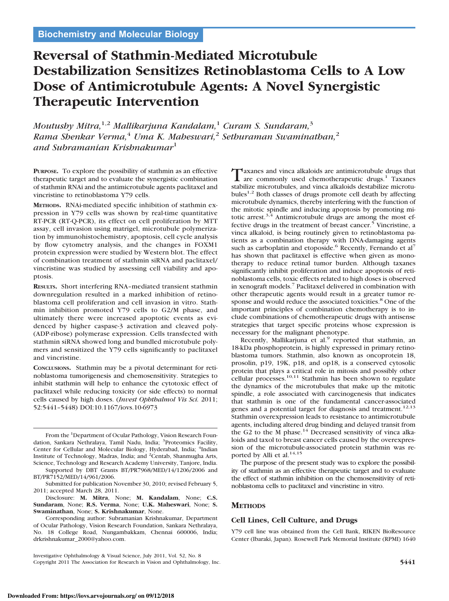# **Reversal of Stathmin-Mediated Microtubule Destabilization Sensitizes Retinoblastoma Cells to A Low Dose of Antimicrotubule Agents: A Novel Synergistic Therapeutic Intervention**

*Moutushy Mitra,*1,2 *Mallikarjuna Kandalam,*<sup>1</sup> *Curam S. Sundaram,*<sup>3</sup> *Rama Shenkar Verma,*<sup>4</sup> *Uma K. Maheswari,*<sup>2</sup> *Sethuraman Swaminathan,*<sup>2</sup> *and Subramanian Krishnakumar*<sup>1</sup>

**PURPOSE.** To explore the possibility of stathmin as an effective therapeutic target and to evaluate the synergistic combination of stathmin RNAi and the antimicrotubule agents paclitaxel and vincristine to retinoblastoma Y79 cells.

**METHODS.** RNAi-mediated specific inhibition of stathmin expression in Y79 cells was shown by real-time quantitative RT-PCR (RT-Q-PCR), its effect on cell proliferation by MTT assay, cell invasion using matrigel, microtubule polymerization by immunohistochemistry, apoptosis, cell cycle analysis by flow cytometry analysis, and the changes in FOXM1 protein expression were studied by Western blot. The effect of combination treatment of stathmin siRNA and paclitaxel/ vincristine was studied by assessing cell viability and apoptosis.

**RESULTS.** Short interfering RNA–mediated transient stathmin downregulation resulted in a marked inhibition of retinoblastoma cell proliferation and cell invasion in vitro. Stathmin inhibition promoted Y79 cells to G2/M phase, and ultimately there were increased apoptotic events as evidenced by higher caspase-3 activation and cleaved poly- (ADP-ribose) polymerase expression. Cells transfected with stathmin siRNA showed long and bundled microtubule polymers and sensitized the Y79 cells significantly to paclitaxel and vincristine.

**CONCLUSIONS.** Stathmin may be a pivotal determinant for retinoblastoma tumorigenesis and chemosensitivity. Strategies to inhibit stathmin will help to enhance the cytotoxic effect of paclitaxel while reducing toxicity (or side effects) to normal cells caused by high doses. (*Invest Ophthalmol Vis Sci.* 2011; 52:5441–5448) DOI:10.1167/iovs.10-6973

From the <sup>1</sup>Department of Ocular Pathology, Vision Research Foundation, Sankara Nethralaya, Tamil Nadu, India; <sup>3</sup>Proteomics Facility, Center for Cellular and Molecular Biology, Hyderabad, India; <sup>4</sup>Indian Institute of Technology, Madras, India; and <sup>2</sup>Centab, Shanmugha Arts, Science, Technology and Research Academy University, Tanjore, India.

Supported by DBT Grants BT/PR7968/MED/14/1206/2006 and BT/PR7152/MED/14/961/2006.

Disclosure: **M. Mitra**, None; **M. Kandalam**, None; **C.S. Sundaram**, None; **R.S. Verma**, None; **U.K. Maheswari**, None; **S. Swaminathan**, None; **S. Krishnakumar**, None.

Corresponding author: Subramanian Krishnakumar, Department of Ocular Pathology, Vision Research Foundation, Sankara Nethralaya, No. 18 College Road, Nungambakkam, Chennai 600006, India; drkrishnakumar\_2000@yahoo.com.

Investigative Ophthalmology & Visual Science, July 2011, Vol. 52, No. 8 Copyright 2011 The Association for Research in Vision and Ophthalmology, Inc. **5441**

Taxanes and vinca alkaloids are antimicrotubule drugs that<br>are commonly used chemotherapeutic drugs.<sup>1</sup> Taxanes stabilize microtubules, and vinca alkaloids destabilize microtubules<sup>1,2</sup> Both classes of drugs promote cell death by affecting microtubule dynamics, thereby interfering with the function of the mitotic spindle and inducing apoptosis by promoting mitotic arrest.<sup>3,4</sup> Antimicrotubule drugs are among the most effective drugs in the treatment of breast cancer.<sup>5</sup> Vincristine, a vinca alkaloid, is being routinely given to retinoblastoma patients as a combination therapy with DNA-damaging agents such as carboplatin and etoposide.<sup>6</sup> Recently, Fernando et al<sup>7</sup> has shown that paclitaxel is effective when given as monotherapy to reduce retinal tumor burden. Although taxanes significantly inhibit proliferation and induce apoptosis of retinoblastoma cells, toxic effects related to high doses is observed in xenograft models.<sup>7</sup> Paclitaxel delivered in combination with other therapeutic agents would result in a greater tumor response and would reduce the associated toxicities.<sup>8</sup> One of the important principles of combination chemotherapy is to include combinations of chemotherapeutic drugs with antisense strategies that target specific proteins whose expression is necessary for the malignant phenotype.

Recently, Mallikarjuna et al.<sup>9</sup> reported that stathmin, an 18-kDa phosphoprotein, is highly expressed in primary retinoblastoma tumors. Stathmin, also known as oncoprotein 18, prosolin, p19, 19K, p18, and op18, is a conserved cytosolic protein that plays a critical role in mitosis and possibly other cellular processes.<sup>10,11</sup> Stathmin has been shown to regulate the dynamics of the microtubules that make up the mitotic spindle, a role associated with carcinogenesis that indicates that stathmin is one of the fundamental cancer-associated genes and a potential target for diagnosis and treatment.<sup>12,13</sup> Stathmin overexpression leads to resistance to antimicrotubule agents, including altered drug binding and delayed transit from the G2 to the M phase.<sup>14</sup> Decreased sensitivity of vinca alkaloids and taxol to breast cancer cells caused by the overexpression of the microtubule-associated protein stathmin was reported by Alli et al.<sup>14,15</sup>

The purpose of the present study was to explore the possibility of stathmin as an effective therapeutic target and to evaluate the effect of stathmin inhibition on the chemosensitivity of retinoblastoma cells to paclitaxel and vincristine in vitro.

# **METHODS**

## **Cell Lines, Cell Culture, and Drugs**

Y79 cell line was obtained from the Cell Bank, RIKEN BioResource Center (Ibaraki, Japan). Rosewell Park Memorial Institute (RPMI) 1640

Submitted for publication November 30, 2010; revised February 5, 2011; accepted March 28, 2011.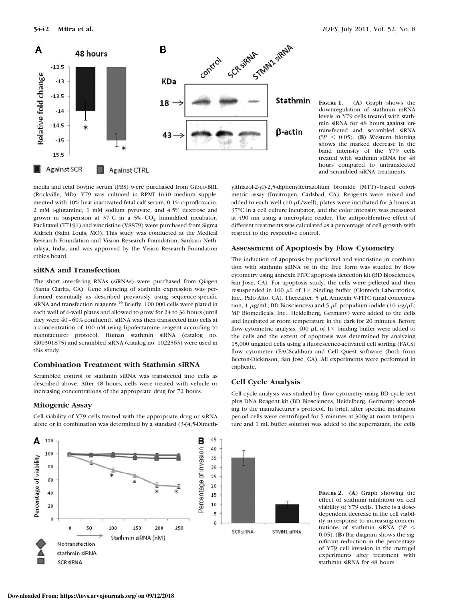

**FIGURE 1.** (**A**) Graph shows the downregulation of stathmin mRNA levels in Y79 cells treated with stathmin siRNA for 48 hours against untransfected and scrambled siRNA ( $P < 0.05$ ). (**B**) Western blotting shows the marked decrease in the band intensity of the Y79 cells treated with stathmin siRNA for 48 hours compared to untransfected and scrambled siRNA treatments.

media and fetal bovine serum (FBS) were purchased from Gibco-BRL (Rockville, MD). Y79 was cultured in RPMI 1640 medium supplemented with 10% heat-inactivated fetal calf serum, 0.1% ciprofloxacin, 2 mM L-glutamine, 1 mM sodium pyruvate, and 4.5% dextrose and grown in suspension at  $37^{\circ}$ C in a 5% CO<sub>2</sub> humidified incubator. Paclitaxel (T7191) and vincristine (V8879) were purchased from Sigma Aldrich (Saint Louis, MO). This study was conducted at the Medical Research Foundation and Vision Research Foundation, Sankara Nethralaya, India, and was approved by the Vision Research Foundation ethics board.

### **siRNA and Transfection**

The short interfering RNAs (siRNAs) were purchased from Qiagen (Santa Clarita, CA). Gene silencing of stathmin expression was performed essentially as described previously using sequence-specific siRNA and transfection reagents.<sup>16</sup> Briefly, 100,000 cells were plated in each well of 6-well plates and allowed to grow for 24 to 36 hours (until they were 40–60% confluent). siRNA was then transfected into cells at a concentration of 100 nM using lipofectamine reagent according to manufacturer protocol. Human stathmin siRNA (catalog no. SI00301875) and scrambled siRNA (catalog no. 1022563) were used in this study.

#### **Combination Treatment with Stathmin siRNA**

Scrambled control or stathmin siRNA was transfected into cells as described above. After 48 hours, cells were treated with vehicle or increasing concentrations of the appropriate drug for 72 hours.

#### **Mitogenic Assay**



Cell viability of Y79 cells treated with the appropriate drug or siRNA alone or in combination was determined by a standard (3-(4,5-Dimethylthiazol-2-yl)-2,5-diphenyltetrazolium bromide (MTT)–based colorimetric assay (Invitrogen, Carlsbad, CA). Reagents were mixed and added to each well (10  $\mu$ L/well), plates were incubated for 3 hours at 37°C in a cell culture incubator, and the color intensity was measured at 490 nm using a microplate reader. The antiproliferative effect of different treatments was calculated as a percentage of cell growth with respect to the respective control.

#### **Assessment of Apoptosis by Flow Cytometry**

The induction of apoptosis by paclitaxel and vincristine in combination with stathmin siRNA or in the free form was studied by flow cytometry using annexin FITC apoptosis detection kit (BD Biosciences, San Jose, CA). For apoptosis study, the cells were pelleted and then resuspended in 100  $\mu$ L of 1× binding buffer (Clontech Laboratories, Inc., Palo Alto, CA). Thereafter,  $5 \mu L$  Annexin V-FITC (final concentration, 1  $\mu$ g/mL; BD Biosciences) and 5  $\mu$ L propidium iodide (10  $\mu$ g/ $\mu$ L; MP Biomedicals, Inc., Heidelberg, Germany) were added to the cells and incubated at room temperature in the dark for 20 minutes. Before flow cytometric analysis, 400  $\mu$ L of 1× binding buffer were added to the cells and the extent of apoptosis was determined by analyzing 15,000 ungated cells using a fluorescence-activated cell sorting (FACS) flow cytometer (FACScalibur) and Cell Quest software (both from Becton-Dickinson, San Jose, CA). All experiments were performed in triplicate.

#### **Cell Cycle Analysis**

ture and 1 mL buffer solution was added to the supernatant, the cells

Cell cycle analysis was studied by flow cytometry using BD cycle test plus DNA Reagent kit (BD Biosciences, Heidelberg, Germany) according to the manufacturer's protocol. In brief, after specific incubation period cells were centrifuged for 5 minutes at 300*g* at room tempera-

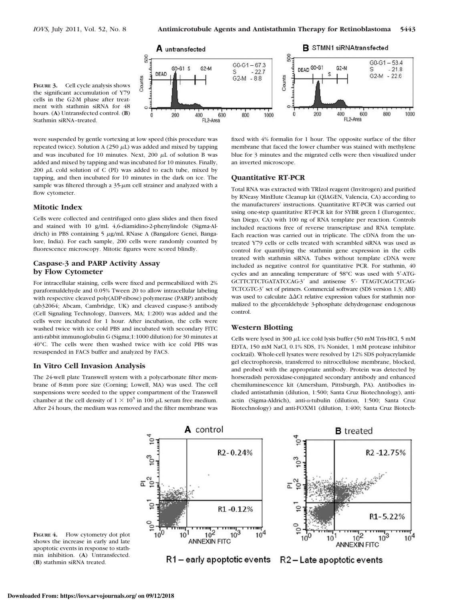

**FIGURE 3.** Cell cycle analysis shows the significant accumulation of Y79 cells in the G2-M phase after treatment with stathmin siRNA for 48 hours. (**A**) Untransfected control. (**B**) Stathmin siRNA–treated.

were suspended by gentle vortexing at low speed (this procedure was repeated twice). Solution A (250  $\mu$ L) was added and mixed by tapping and was incubated for 10 minutes. Next, 200  $\mu$ L of solution B was added and mixed by tapping and was incubated for 10 minutes. Finally, 200  $\mu$ L cold solution of C (PI) was added to each tube, mixed by tapping, and then incubated for 10 minutes in the dark on ice. The sample was filtered through a  $35-\mu$ m cell strainer and analyzed with a flow cytometer.

#### **Mitotic Index**

Cells were collected and centrifuged onto glass slides and then fixed and stained with 10 g/mL 4,6-diamidino-2-phenylindole (Sigma-Aldrich) in PBS containing 5 µg/mL RNase A (Bangalore Genei, Bangalore, India). For each sample, 200 cells were randomly counted by fluorescence microscopy. Mitotic figures were scored blindly.

# **Caspase-3 and PARP Activity Assay by Flow Cytometer**

For intracellular staining, cells were fixed and permeabilized with 2% paraformaldehyde and 0.05% Tween 20 to allow intracellular labeling with respective cleaved poly(ADP-ribose) polymerase (PARP) antibody (ab32064; Abcam, Cambridge, UK) and cleaved caspase-3 antibody (Cell Signaling Technology, Danvers, MA; 1:200) was added and the cells were incubated for 1 hour. After incubation, the cells were washed twice with ice cold PBS and incubated with secondary FITC anti-rabbit immunoglobulin G (Sigma;1:1000 dilution) for 30 minutes at 40°C. The cells were then washed twice with ice cold PBS was resuspended in FACS buffer and analyzed by FACS.

#### **In Vitro Cell Invasion Analysis**

The 24-well plate Transwell system with a polycarbonate filter membrane of 8-mm pore size (Corning; Lowell, MA) was used. The cell suspensions were seeded to the upper compartment of the Transwell chamber at the cell density of  $1 \times 10^5$  in 100  $\mu$ L serum free medium. After 24 hours, the medium was removed and the filter membrane was fixed with 4% formalin for 1 hour. The opposite surface of the filter membrane that faced the lower chamber was stained with methylene blue for 3 minutes and the migrated cells were then visualized under an inverted microscope.

#### **Quantitative RT-PCR**

Total RNA was extracted with TRIzol reagent (Invitrogen) and purified by RNeasy MinElute Cleanup kit (QIAGEN, Valencia, CA) according to the manufacturers' instructions. Quantitative RT-PCR was carried out using one-step quantitative RT-PCR kit for SYBR green I (Eurogentec, San Diego, CA) with 100 ng of RNA template per reaction. Controls included reactions free of reverse transcriptase and RNA template. Each reaction was carried out in triplicate. The cDNA from the untreated Y79 cells or cells treated with scrambled siRNA was used as control for quantifying the stathmin gene expression in the cells treated with stathmin siRNA. Tubes without template cDNA were included as negative control for quantitative PCR. For stathmin, 40 cycles and an annealing temperature of 58°C was used with 5-ATG-GCTTCTTCTGATATCCAG-3' and antisense 5'- TTAGTCAGCTTCAG-TCTCGTC-3' set of primers. Commercial software (SDS version 1.3; ABI) was used to calculate  $\Delta\Delta$ Ct relative expression values for stathmin normalized to the glyceraldehyde 3-phosphate dehydrogenase endogenous control.

## **Western Blotting**

Cells were lysed in  $300 \mu$ L ice cold lysis buffer (50 mM Tris-HCl, 5 mM EDTA, 150 mM NaCl, 0.1% SDS, 1% Nonidet, 1 mM protease inhibitor cocktail). Whole-cell lysates were resolved by 12% SDS polyacrylamide gel electrophoresis, transferred to nitrocellulose membrane, blocked, and probed with the appropriate antibody. Protein was detected by horseradish peroxidase-conjugated secondary antibody and enhanced chemiluminescence kit (Amersham, Pittsburgh, PA). Antibodies included antistathmin (dilution, 1:500; Santa Cruz Biotechnology), antiactin (Sigma-Aldrich), anti- $\alpha$ -tubulin (dilution, 1:500; Santa Cruz Biotechnology) and anti-FOXM1 (dilution, 1:400; Santa Cruz Biotech-



FIGURE 4. Flow cytometry dot plot shows the increase in early and late apoptotic events in response to stathmin inhibition. (**A**) Untransfected. (**B**) stathmin siRNA treated.

R1 – early apoptotic events

R2-Late apoptotic events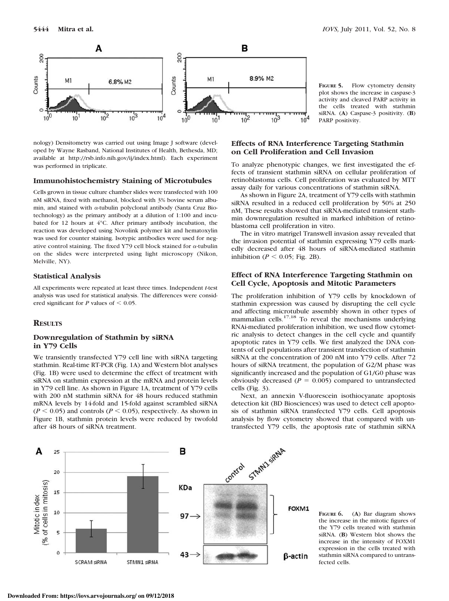Counts



 $10^{0}$ 

 $10^{1}$ 

 $10^{2}$ 

 $10^{3}$ 

**FIGURE 5.** Flow cytometry density plot shows the increase in caspase-3 activity and cleaved PARP activity in the cells treated with stathmin siRNA. (**A**) Caspase-3 positivity. (**B**) PARP positivity.

## **Effects of RNA Interference Targeting Stathmin on Cell Proliferation and Cell Invasion**

 $10^{4}$ 

To analyze phenotypic changes, we first investigated the effects of transient stathmin siRNA on cellular proliferation of retinoblastoma cells. Cell proliferation was evaluated by MTT assay daily for various concentrations of stathmin siRNA.

As shown in Figure 2A, treatment of Y79 cells with stathmin siRNA resulted in a reduced cell proliferation by 50% at 250 nM, These results showed that siRNA-mediated transient stathmin downregulation resulted in marked inhibition of retinoblastoma cell proliferation in vitro.

The in vitro matrigel Transwell invasion assay revealed that the invasion potential of stathmin expressing Y79 cells markedly decreased after 48 hours of siRNA-mediated stathmin inhibition ( $P < 0.05$ ; Fig. 2B).

# **Effect of RNA Interference Targeting Stathmin on Cell Cycle, Apoptosis and Mitotic Parameters**

The proliferation inhibition of Y79 cells by knockdown of stathmin expression was caused by disrupting the cell cycle and affecting microtubule assembly shown in other types of mammalian cells. $17,18$  To reveal the mechanisms underlying RNAi-mediated proliferation inhibition, we used flow cytometric analysis to detect changes in the cell cycle and quantify apoptotic rates in Y79 cells. We first analyzed the DNA contents of cell populations after transient transfection of stathmin siRNA at the concentration of 200 nM into Y79 cells. After 72 hours of siRNA treatment, the population of G2/M phase was significantly increased and the population of G1/G0 phase was obviously decreased  $(P = 0.005)$  compared to untransfected cells (Fig. 3).

Next, an annexin V-fluorescein isothiocyanate apoptosis detection kit (BD Biosciences) was used to detect cell apoptosis of stathmin siRNA transfected Y79 cells. Cell apoptosis analysis by flow cytometry showed that compared with untransfected Y79 cells, the apoptosis rate of stathmin siRNA

**Immunohistochemistry Staining of Microtubules** Cells grown in tissue culture chamber slides were transfected with 100 nM siRNA, fixed with methanol, blocked with 3% bovine serum albumin, and stained with  $\alpha$ -tubulin polyclonal antibody (Santa Cruz Biotechnology) as the primary antibody at a dilution of 1:100 and incubated for 12 hours at 4°C. After primary antibody incubation, the

nology) Densitometry was carried out using Image J software (developed by Wayne Rasband, National Institutes of Health, Bethesda, MD; available at http://rsb.info.nih.gov/ij/index.html). Each experiment

reaction was developed using Novolink polymer kit and hematoxylin was used for counter staining. Isotypic antibodies were used for negative control staining. The fixed Y79 cell block stained for  $\alpha$ -tubulin on the slides were interpreted using light microscopy (Nikon, Melville, NY).

## **Statistical Analysis**

was performed in triplicate.

All experiments were repeated at least three times. Independent *t*-test analysis was used for statistical analysis. The differences were considered significant for  $P$  values of  $\leq 0.05$ .

# **RESULTS**

## **Downregulation of Stathmin by siRNA in Y79 Cells**

We transiently transfected Y79 cell line with siRNA targeting stathmin. Real-time RT-PCR (Fig. 1A) and Western blot analyses (Fig. 1B) were used to determine the effect of treatment with siRNA on stathmin expression at the mRNA and protein levels in Y79 cell line. As shown in Figure 1A, treatment of Y79 cells with 200 nM stathmin siRNA for 48 hours reduced stathmin mRNA levels by 14-fold and 15-fold against scrambled siRNA  $(P < 0.05)$  and controls ( $P < 0.05$ ), respectively. As shown in Figure 1B, stathmin protein levels were reduced by twofold after 48 hours of siRNA treatment.



**FIGURE 6.** (**A**) Bar diagram shows the increase in the mitotic figures of the Y79 cells treated with stathmin siRNA. (**B**) Western blot shows the increase in the intensity of FOXM1 expression in the cells treated with stathmin siRNA compared to untransfected cells.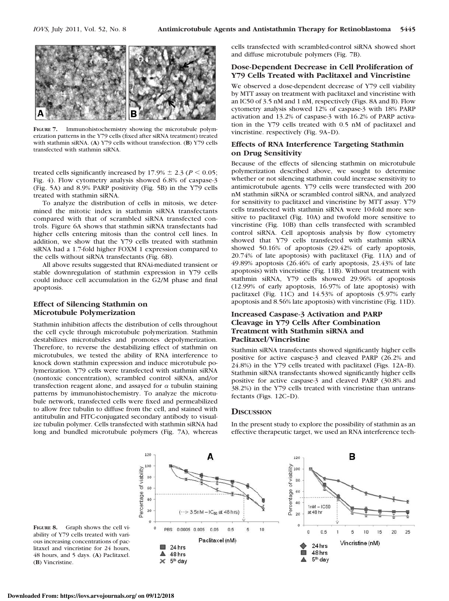

**FIGURE 7.** Immunohistochemistry showing the microtubule polymerization patterns in the Y79 cells (fixed after siRNA treatment) treated with stathmin siRNA. (**A**) Y79 cells without transfection. (**B**) Y79 cells transfected with stathmin siRNA.

treated cells significantly increased by  $17.9\% \pm 2.3$  ( $P < 0.05$ ; Fig. 4). Flow cytometry analysis showed 6.8% of caspase-3 (Fig. 5A) and 8.9% PARP positivity (Fig. 5B) in the Y79 cells treated with stathmin siRNA.

To analyze the distribution of cells in mitosis, we determined the mitotic index in stathmin siRNA transfectants compared with that of scrambled siRNA transfected controls. Figure 6A shows that stathmin siRNA transfectants had higher cells entering mitosis than the control cell lines. In addition, we show that the Y79 cells treated with stathmin siRNA had a 1.7-fold higher FOXM 1 expression compared to the cells without siRNA transfectants (Fig. 6B).

All above results suggested that RNAi-mediated transient or stable downregulation of stathmin expression in Y79 cells could induce cell accumulation in the G2/M phase and final apoptosis.

#### **Effect of Silencing Stathmin on Microtubule Polymerization**

Stathmin inhibition affects the distribution of cells throughout the cell cycle through microtubule polymerization. Stathmin destabilizes microtubules and promotes depolymerization. Therefore, to reverse the destabilizing effect of stathmin on microtubules, we tested the ability of RNA interference to knock down stathmin expression and induce microtubule polymerization. Y79 cells were transfected with stathmin siRNA (nontoxic concentration), scrambled control siRNA, and/or transfection reagent alone, and assayed for  $\alpha$  tubulin staining patterns by immunohistochemistry. To analyze the microtubule network, transfected cells were fixed and permeabilized to allow free tubulin to diffuse from the cell, and stained with antitubulin and FITC-conjugated secondary antibody to visualize tubulin polymer. Cells transfected with stathmin siRNA had long and bundled microtubule polymers (Fig. 7A), whereas cells transfected with scrambled-control siRNA showed short and diffuse microtubule polymers (Fig. 7B).

## **Dose-Dependent Decrease in Cell Proliferation of Y79 Cells Treated with Paclitaxel and Vincristine**

We observed a dose-dependent decrease of Y79 cell viability by MTT assay on treatment with paclitaxel and vincristine with an IC50 of 3.5 nM and 1 nM, respectively (Figs. 8A and B). Flow cytometry analysis showed 12% of caspase-3 with 18% PARP activation and 13.2% of caspase-3 with 16.2% of PARP activation in the Y79 cells treated with 0.5 nM of paclitaxel and vincristine. respectively (Fig. 9A–D).

# **Effects of RNA Interference Targeting Stathmin on Drug Sensitivity**

Because of the effects of silencing stathmin on microtubule polymerization described above, we sought to determine whether or not silencing stathmin could increase sensitivity to antimicrotubule agents. Y79 cells were transfected with 200 nM stathmin siRNA or scrambled control siRNA, and analyzed for sensitivity to paclitaxel and vincristine by MTT assay. Y79 cells transfected with stathmin siRNA were 10-fold more sensitive to paclitaxel (Fig. 10A) and twofold more sensitive to vincristine (Fig. 10B) than cells transfected with scrambled control siRNA. Cell apoptosis analysis by flow cytometry showed that Y79 cells transfected with stathmin siRNA showed 50.16% of apoptosis (29.42% of early apoptosis, 20.74% of late apoptosis) with paclitaxel (Fig. 11A) and of 49.89% apoptosis (26.46% of early apoptosis, 23.43% of late apoptosis) with vincristine (Fig. 11B). Without treatment with stathmin siRNA, Y79 cells showed 29.96% of apoptosis (12.99% of early apoptosis, 16.97% of late apoptosis) with paclitaxel (Fig. 11C) and 14.53% of apoptosis (5.97% early apoptosis and 8.56% late apoptosis) with vincristine (Fig. 11D).

# **Increased Caspase-3 Activation and PARP Cleavage in Y79 Cells After Combination Treatment with Stathmin siRNA and Paclitaxel/Vincristine**

Stathmin siRNA transfectants showed significantly higher cells positive for active caspase-3 and cleaved PARP (26.2% and 24.8%) in the Y79 cells treated with paclitaxel (Figs. 12A–B). Stathmin siRNA transfectants showed significantly higher cells positive for active caspase-3 and cleaved PARP (30.8% and 38.2%) in the Y79 cells treated with vincristine than untransfectants (Figs. 12C–D).

#### **DISCUSSION**

In the present study to explore the possibility of stathmin as an effective therapeutic target, we used an RNA interference tech-



**FIGURE 8.** Graph shows the cell viability of Y79 cells treated with various increasing concentrations of paclitaxel and vincristine for 24 hours, 48 hours, and 5 days. (**A**) Paclitaxel. (**B**) Vincristine.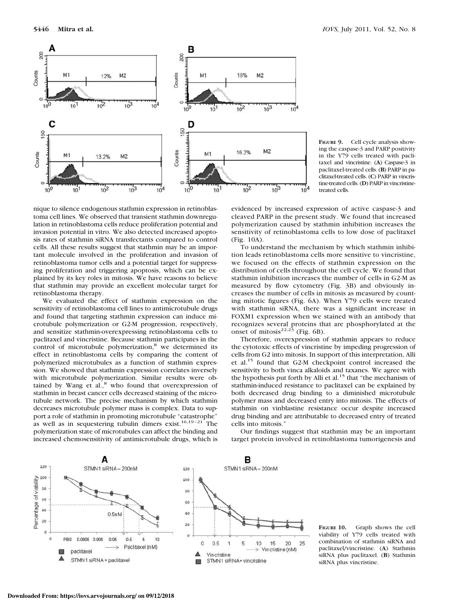

**FIGURE 9.** Cell cycle analysis showing the caspase-3 and PARP positivity in the Y79 cells treated with paclitaxel and vincristine. (**A**) Caspase-3 in paclitaxel-treated cells. (**B**) PARP in paclitaxel-treated cells. (**C**) PARP in vincristine-treated cells. (**D**) PARP in vincristinetreated cells.

nique to silence endogenous stathmin expression in retinoblastoma cell lines. We observed that transient stathmin downregulation in retinoblastoma cells reduce proliferation potential and invasion potential in vitro. We also detected increased apoptosis rates of stathmin siRNA transfectants compared to control cells. All these results suggest that stathmin may be an important molecule involved in the proliferation and invasion of retinoblastoma tumor cells and a potential target for suppressing proliferation and triggering apoptosis, which can be explained by its key roles in mitosis. We have reasons to believe that stathmin may provide an excellent molecular target for retinoblastoma therapy.

We evaluated the effect of stathmin expression on the sensitivity of retinoblastoma cell lines to antimicrotubule drugs and found that targeting stathmin expression can induce microtubule polymerization or G2-M progression, respectively, and sensitize stathmin-overexpressing retinoblastoma cells to paclitaxel and vincristine. Because stathmin participates in the control of microtubule polymerization,<sup>8</sup> we determined its effect in retinoblastoma cells by comparing the content of polymerized microtubules as a function of stathmin expression. We showed that stathmin expression correlates inversely with microtubule polymerization. Similar results were obtained by Wang et al.,<sup>8</sup> who found that overexpression of stathmin in breast cancer cells decreased staining of the microtubule network. The precise mechanism by which stathmin decreases microtubule polymer mass is complex. Data to support a role of stathmin in promoting microtubule "catastrophe" as well as in sequestering tubulin dimers exist.<sup>16,19-21</sup> The polymerization state of microtubules can affect the binding and increased chemosensitivity of antimicrotubule drugs, which is

evidenced by increased expression of active caspase-3 and cleaved PARP in the present study. We found that increased polymerization caused by stathmin inhibition increases the sensitivity of retinoblastoma cells to low dose of paclitaxel (Fig. 10A).

To understand the mechanism by which stathmin inhibition leads retinoblastoma cells more sensitive to vincristine, we focused on the effects of stathmin expression on the distribution of cells throughout the cell cycle. We found that stathmin inhibition increases the number of cells in G2-M as measured by flow cytometry (Fig. 3B) and obviously increases the number of cells in mitosis as measured by counting mitotic figures (Fig. 6A). When Y79 cells were treated with stathmin siRNA, there was a significant increase in FOXM1 expression when we stained with an antibody that recognizes several proteins that are phosphorylated at the onset of mitosis $2^{2,23}$  (Fig. 6B).

Therefore, overexpression of stathmin appears to reduce the cytotoxic effects of vincristine by impeding progression of cells from G2 into mitosis. In support of this interpretation, Alli et al.<sup>15</sup> found that G2-M checkpoint control increased the sensitivity to both vinca alkaloids and taxanes. We agree with the hypothesis put forth by Alli et al.<sup>15</sup> that "the mechanism of stathmin-induced resistance to paclitaxel can be explained by both decreased drug binding to a diminished microtubule polymer mass and decreased entry into mitosis. The effects of stathmin on vinblastine resistance occur despite increased drug binding and are attributable to decreased entry of treated cells into mitosis."

Our findings suggest that stathmin may be an important target protein involved in retinoblastoma tumorigenesis and



**FIGURE 10.** Graph shows the cell viability of Y79 cells treated with combination of stathmin siRNA and paclitaxel/vincristine. (**A**) Stathmin siRNA plus paclitaxel. (**B**) Stathmin siRNA plus vincristine.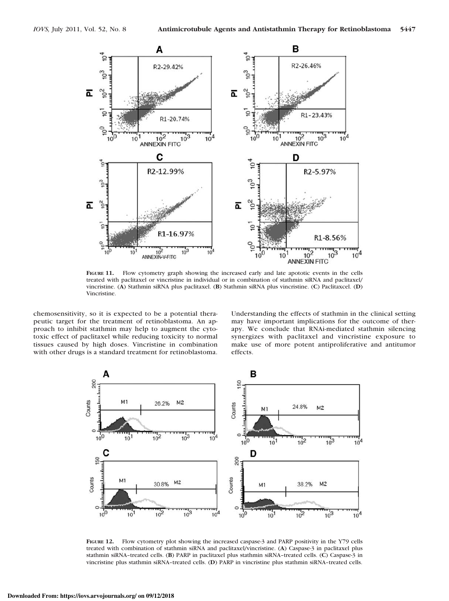

**FIGURE 11.** Flow cytometry graph showing the increased early and late apototic events in the cells treated with paclitaxel or vincristine in individual or in combination of stathmin siRNA and paclitaxel/ vincristine. (**A**) Stathmin siRNA plus paclitaxel. (**B**) Stathmin siRNA plus vincristine. (**C**) Paclitaxcel. (**D**) Vincristine.

chemosensitivity, so it is expected to be a potential therapeutic target for the treatment of retinoblastoma. An approach to inhibit stathmin may help to augment the cytotoxic effect of paclitaxel while reducing toxicity to normal tissues caused by high doses. Vincristine in combination with other drugs is a standard treatment for retinoblastoma.

Understanding the effects of stathmin in the clinical setting may have important implications for the outcome of therapy. We conclude that RNAi-mediated stathmin silencing synergizes with paclitaxel and vincristine exposure to make use of more potent antiproliferative and antitumor effects.



FIGURE 12. Flow cytometry plot showing the increased caspase-3 and PARP positivity in the Y79 cells treated with combination of stathmin siRNA and paclitaxel/vincristine. (**A**) Caspase-3 in paclitaxel plus stathmin siRNA–treated cells. (**B**) PARP in paclitaxel plus stathmin siRNA–treated cells. (**C**) Caspase-3 in vincristine plus stathmin siRNA–treated cells. (**D**) PARP in vincristine plus stathmin siRNA–treated cells.